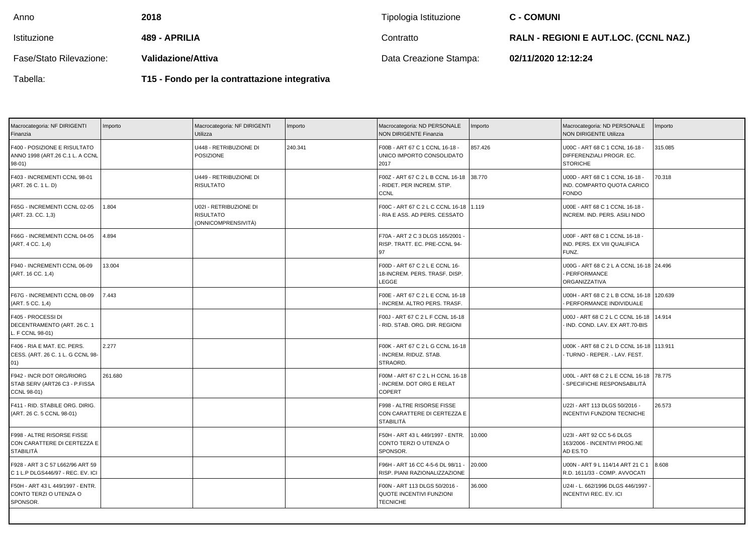| Anno                    | 2018                      | Tipologia Istituzione  | <b>C - COMUNI</b>                            |
|-------------------------|---------------------------|------------------------|----------------------------------------------|
| Istituzione             | 489 - APRILIA             | Contratto              | <b>RALN - REGIONI E AUT.LOC. (CCNL NAZ.)</b> |
| Fase/Stato Rilevazione: | <b>Validazione/Attiva</b> | Data Creazione Stampa: | 02/11/2020 12:12:24                          |

Tabella:

**T15 - Fondo per la contrattazione integrativa**

| Macrocategoria: NF DIRIGENTI<br>Finanzia                                      | Importo | Macrocategoria: NF DIRIGENTI<br>Utilizza                          | Importo | Macrocategoria: ND PERSONALE<br><b>NON DIRIGENTE Finanzia</b>                       | Importo | Macrocategoria: ND PERSONALE<br>NON DIRIGENTE Utilizza                        | Importo |
|-------------------------------------------------------------------------------|---------|-------------------------------------------------------------------|---------|-------------------------------------------------------------------------------------|---------|-------------------------------------------------------------------------------|---------|
| F400 - POSIZIONE E RISULTATO<br>ANNO 1998 (ART.26 C.1 L. A CCNL<br>$98-01)$   |         | U448 - RETRIBUZIONE DI<br><b>POSIZIONE</b>                        | 240.341 | F00B - ART 67 C 1 CCNL 16-18 -<br>UNICO IMPORTO CONSOLIDATO<br>2017                 | 857.426 | U00C - ART 68 C 1 CCNL 16-18 -<br>DIFFERENZIALI PROGR. EC.<br><b>STORICHE</b> | 315.085 |
| F403 - INCREMENTI CCNL 98-01<br>(ART. 26 C. 1 L. D)                           |         | U449 - RETRIBUZIONE DI<br><b>RISULTATO</b>                        |         | F00Z - ART 67 C 2 L B CCNL 16-18<br>- RIDET. PER INCREM. STIP.<br>CCNL              | 38.770  | U00D - ART 68 C 1 CCNL 16-18 -<br>IND. COMPARTO QUOTA CARICO<br><b>FONDO</b>  | 70.318  |
| F65G - INCREMENTI CCNL 02-05<br>(ART. 23. CC. 1,3)                            | 1.804   | U02I - RETRIBUZIONE DI<br><b>RISULTATO</b><br>(ONNICOMPRENSIVITÀ) |         | F00C - ART 67 C 2 L C CCNL 16-18 1.119<br>- RIA E ASS. AD PERS. CESSATO             |         | U00E - ART 68 C 1 CCNL 16-18 -<br>INCREM. IND. PERS. ASILI NIDO               |         |
| F66G - INCREMENTI CCNL 04-05<br>(ART. 4 CC. 1,4)                              | 4.894   |                                                                   |         | F70A - ART 2 C 3 DLGS 165/2001 -<br>RISP. TRATT. EC. PRE-CCNL 94-<br>97             |         | U00F - ART 68 C 1 CCNL 16-18 -<br>IND. PERS. EX VIII QUALIFICA<br>FUNZ.       |         |
| F940 - INCREMENTI CCNL 06-09<br>(ART. 16 CC. 1,4)                             | 13.004  |                                                                   |         | F00D - ART 67 C 2 L E CCNL 16-<br>18-INCREM. PERS. TRASF. DISP.<br><b>LEGGE</b>     |         | U00G - ART 68 C 2 L A CCNL 16-18 24.496<br>- PERFORMANCE<br>ORGANIZZATIVA     |         |
| F67G - INCREMENTI CCNL 08-09<br>(ART. 5 CC. 1,4)                              | 7.443   |                                                                   |         | F00E - ART 67 C 2 L E CCNL 16-18<br>INCREM. ALTRO PERS. TRASF.                      |         | U00H - ART 68 C 2 L B CCNL 16-18<br>PERFORMANCE INDIVIDUALE                   | 120.639 |
| F405 - PROCESSI DI<br>DECENTRAMENTO (ART. 26 C. 1<br>L. F CCNL 98-01)         |         |                                                                   |         | F00J - ART 67 C 2 L F CCNL 16-18<br>- RID. STAB. ORG. DIR. REGIONI                  |         | U00J - ART 68 C 2 L C CCNL 16-18<br>IND. COND. LAV. EX ART.70-BIS             | 14.914  |
| F406 - RIA E MAT. EC. PERS.<br>CESS. (ART. 26 C. 1 L. G CCNL 98-<br>01)       | 2.277   |                                                                   |         | F00K - ART 67 C 2 L G CCNL 16-18<br>INCREM. RIDUZ. STAB.<br>STRAORD.                |         | U00K - ART 68 C 2 L D CCNL 16-18   113.911<br>- TURNO - REPER. - LAV. FEST.   |         |
| F942 - INCR DOT ORG/RIORG<br>STAB SERV (ART26 C3 - P.FISSA<br>CCNL 98-01)     | 261.680 |                                                                   |         | F00M - ART 67 C 2 L H CCNL 16-18<br>INCREM. DOT ORG E RELAT<br>COPERT               |         | U00L - ART 68 C 2 L E CCNL 16-18 78.775<br>SPECIFICHE RESPONSABILITÀ          |         |
| F411 - RID. STABILE ORG. DIRIG.<br>(ART. 26 C. 5 CCNL 98-01)                  |         |                                                                   |         | F998 - ALTRE RISORSE FISSE<br>CON CARATTERE DI CERTEZZA E<br><b>STABILITÀ</b>       |         | U22I - ART 113 DLGS 50/2016 -<br>INCENTIVI FUNZIONI TECNICHE                  | 26.573  |
| F998 - ALTRE RISORSE FISSE<br>CON CARATTERE DI CERTEZZA E<br><b>STABILITÀ</b> |         |                                                                   |         | F50H - ART 43 L 449/1997 - ENTR.<br>CONTO TERZI O UTENZA O<br>SPONSOR.              | 10.000  | U23I - ART 92 CC 5-6 DLGS<br>163/2006 - INCENTIVI PROG.NE<br>AD ES.TO         |         |
| F928 - ART 3 C 57 L662/96 ART 59<br>C 1 L.P DLGS446/97 - REC. EV. ICI         |         |                                                                   |         | F96H - ART 16 CC 4-5-6 DL 98/11 -<br>RISP. PIANI RAZIONALIZZAZIONE                  | 20.000  | U00N - ART 9 L 114/14 ART 21 C 1<br>R.D. 1611/33 - COMP. AVVOCATI             | 8.608   |
| F50H - ART 43 L 449/1997 - ENTR.<br>CONTO TERZI O UTENZA O<br>SPONSOR.        |         |                                                                   |         | F00N - ART 113 DLGS 50/2016 -<br><b>QUOTE INCENTIVI FUNZIONI</b><br><b>TECNICHE</b> | 36.000  | U24I - L. 662/1996 DLGS 446/1997<br><b>INCENTIVI REC. EV. ICI</b>             |         |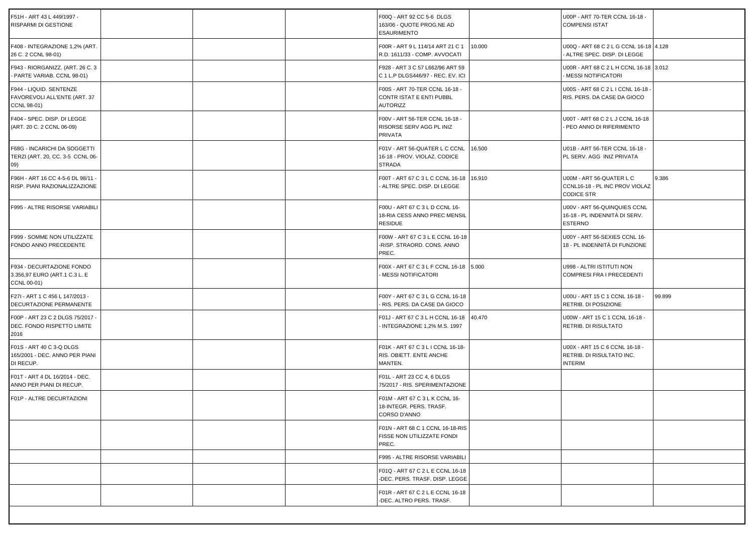| F51H - ART 43 L 449/1997 -<br>RISPARMI DI GESTIONE                        |  | F00Q - ART 92 CC 5-6 DLGS<br>163/06 - QUOTE PROG.NE AD<br><b>ESAURIMENTO</b>     |        | U00P - ART 70-TER CCNL 16-18 -<br><b>COMPENSI ISTAT</b>                         |        |
|---------------------------------------------------------------------------|--|----------------------------------------------------------------------------------|--------|---------------------------------------------------------------------------------|--------|
| F408 - INTEGRAZIONE 1,2% (ART.<br>26 C. 2 CCNL 98-01)                     |  | F00R - ART 9 L 114/14 ART 21 C 1<br>R.D. 1611/33 - COMP. AVVOCATI                | 10.000 | U00Q - ART 68 C 2 L G CCNL 16-18 4.128<br>ALTRE SPEC, DISP, DI LEGGE            |        |
| F943 - RIORGANIZZ. (ART. 26 C. 3<br>PARTE VARIAB. CCNL 98-01)             |  | F928 - ART 3 C 57 L662/96 ART 59<br>C 1 L.P DLGS446/97 - REC. EV. ICI            |        | U00R - ART 68 C 2 L H CCNL 16-18 3.012<br>MESSI NOTIFICATORI                    |        |
| F944 - LIQUID. SENTENZE<br>FAVOREVOLI ALL'ENTE (ART. 37<br>CCNL 98-01)    |  | F00S - ART 70-TER CCNL 16-18 -<br>CONTR ISTAT E ENTI PUBBL<br><b>AUTORIZZ</b>    |        | U00S - ART 68 C 2 L I CCNL 16-18<br>RIS. PERS. DA CASE DA GIOCO                 |        |
| F404 - SPEC. DISP. DI LEGGE<br>(ART. 20 C. 2 CCNL 06-09)                  |  | F00V - ART 56-TER CCNL 16-18 -<br>RISORSE SERV AGG PL INIZ<br>PRIVATA            |        | U00T - ART 68 C 2 L J CCNL 16-18<br>PEO ANNO DI RIFERIMENTO                     |        |
| F68G - INCARICHI DA SOGGETTI<br>TERZI (ART. 20, CC. 3-5 CCNL 06-<br>09)   |  | F01V - ART 56-QUATER L C CCNL<br>16-18 - PROV. VIOLAZ. CODICE<br><b>STRADA</b>   | 16.500 | U01B - ART 56-TER CCNL 16-18 -<br>PL SERV. AGG INIZ PRIVATA                     |        |
| F96H - ART 16 CC 4-5-6 DL 98/11 -<br>RISP. PIANI RAZIONALIZZAZIONE        |  | F00T - ART 67 C 3 L C CCNL 16-18<br>ALTRE SPEC. DISP. DI LEGGE                   | 16.910 | U00M - ART 56-QUATER L C<br>CCNL16-18 - PL INC PROV VIOLAZ<br><b>CODICE STR</b> | 9.386  |
| F995 - ALTRE RISORSE VARIABILI                                            |  | F00U - ART 67 C 3 L D CCNL 16-<br>18-RIA CESS ANNO PREC MENSIL<br><b>RESIDUE</b> |        | U00V - ART 56-QUINQUIES CCNL<br>16-18 - PL INDENNITÀ DI SERV.<br><b>ESTERNO</b> |        |
| F999 - SOMME NON UTILIZZATE<br>FONDO ANNO PRECEDENTE                      |  | F00W - ART 67 C 3 L E CCNL 16-18<br>-RISP. STRAORD. CONS. ANNO<br>PREC.          |        | U00Y - ART 56-SEXIES CCNL 16-<br>18 - PL INDENNITÀ DI FUNZIONE                  |        |
| F934 - DECURTAZIONE FONDO<br>3.356,97 EURO (ART.1 C.3 L. E<br>CCNL 00-01) |  | F00X - ART 67 C 3 L F CCNL 16-18 5.000<br>MESSI NOTIFICATORI                     |        | U998 - ALTRI ISTITUTI NON<br>COMPRESI FRA I PRECEDENTI                          |        |
| F27I - ART 1 C 456 L 147/2013 -<br>DECURTAZIONE PERMANENTE                |  | F00Y - ART 67 C 3 L G CCNL 16-18<br>RIS. PERS. DA CASE DA GIOCO                  |        | U00U - ART 15 C 1 CCNL 16-18 -<br>RETRIB. DI POSIZIONE                          | 99.899 |
| F00P - ART 23 C 2 DLGS 75/2017 -<br>DEC. FONDO RISPETTO LIMITE<br>2016    |  | F01J - ART 67 C 3 L H CCNL 16-18<br>INTEGRAZIONE 1,2% M.S. 1997                  | 40.470 | U00W - ART 15 C 1 CCNL 16-18 -<br>RETRIB. DI RISULTATO                          |        |
| F01S - ART 40 C 3-Q DLGS<br>165/2001 - DEC. ANNO PER PIANI<br>DI RECUP.   |  | F01K - ART 67 C 3 L I CCNL 16-18-<br>RIS. OBIETT. ENTE ANCHE<br>MANTEN.          |        | U00X - ART 15 C 6 CCNL 16-18 -<br>RETRIB. DI RISULTATO INC.<br><b>INTERIM</b>   |        |
| F01T - ART 4 DL 16/2014 - DEC.<br>ANNO PER PIANI DI RECUP.                |  | F01L - ART 23 CC 4, 6 DLGS<br>75/2017 - RIS. SPERIMENTAZIONE                     |        |                                                                                 |        |
| F01P - ALTRE DECURTAZIONI                                                 |  | F01M - ART 67 C 3 L K CCNL 16-<br>18-INTEGR. PERS. TRASF.<br>CORSO D'ANNO        |        |                                                                                 |        |
|                                                                           |  | F01N - ART 68 C 1 CCNL 16-18-RIS<br>FISSE NON UTILIZZATE FONDI<br>PREC.          |        |                                                                                 |        |
|                                                                           |  | F995 - ALTRE RISORSE VARIABILI                                                   |        |                                                                                 |        |
|                                                                           |  | F01Q - ART 67 C 2 L E CCNL 16-18<br>-DEC. PERS. TRASF. DISP. LEGGE               |        |                                                                                 |        |
|                                                                           |  | F01R - ART 67 C 2 L E CCNL 16-18<br>-DEC. ALTRO PERS. TRASF.                     |        |                                                                                 |        |
|                                                                           |  |                                                                                  |        |                                                                                 |        |